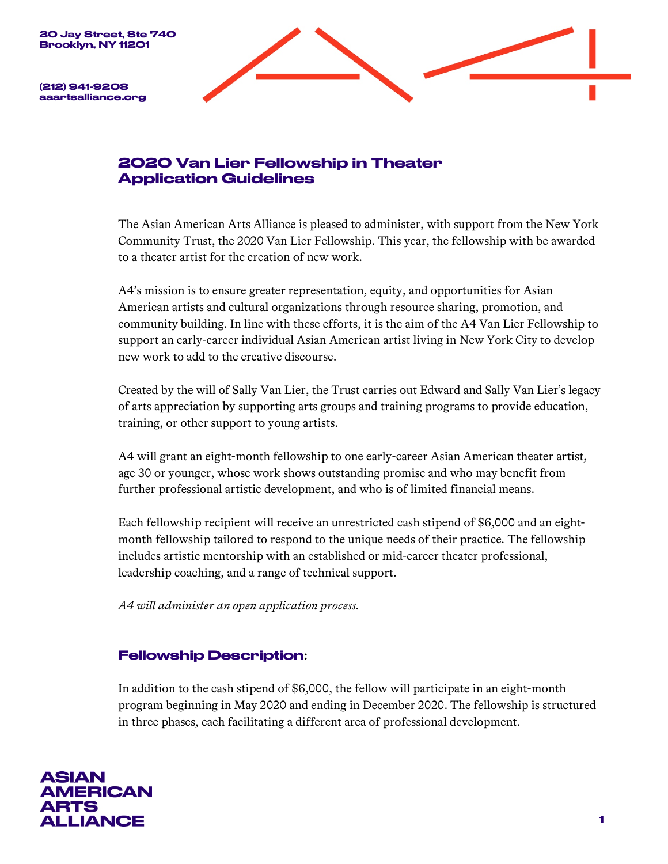

(212) 941-9208 aaartsalliance.org

# 2020 Van Lier Fellowship in Theater Application Guidelines

The Asian American Arts Alliance is pleased to administer, with support from the New York Community Trust, the 2020 Van Lier Fellowship. This year, the fellowship with be awarded to a theater artist for the creation of new work.

A4's mission is to ensure greater representation, equity, and opportunities for Asian American artists and cultural organizations through resource sharing, promotion, and community building. In line with these efforts, it is the aim of the A4 Van Lier Fellowship to support an early-career individual Asian American artist living in New York City to develop new work to add to the creative discourse.

Created by the will of Sally Van Lier, the Trust carries out Edward and Sally Van Lier's legacy of arts appreciation by supporting arts groups and training programs to provide education, training, or other support to young artists.

A4 will grant an eight-month fellowship to one early-career Asian American theater artist, age 30 or younger, whose work shows outstanding promise and who may benefit from further professional artistic development, and who is of limited financial means.

Each fellowship recipient will receive an unrestricted cash stipend of \$6,000 and an eightmonth fellowship tailored to respond to the unique needs of their practice. The fellowship includes artistic mentorship with an established or mid-career theater professional, leadership coaching, and a range of technical support.

*A4 will administer an open application process.*

## Fellowship Description:

In addition to the cash stipend of \$6,000, the fellow will participate in an eight-month program beginning in May 2020 and ending in December 2020. The fellowship is structured in three phases, each facilitating a different area of professional development.

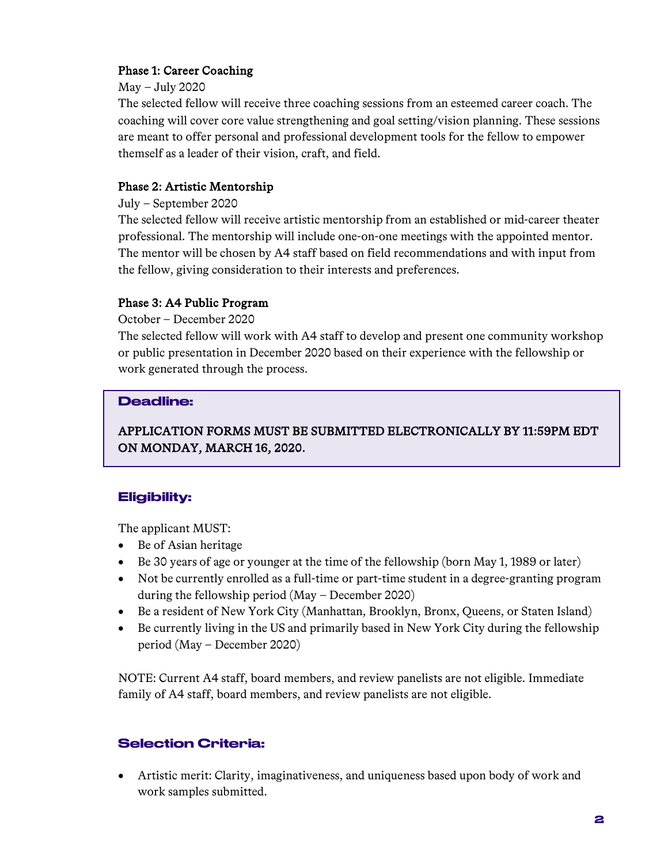## Phase 1: Career Coaching

### May – July 2020

The selected fellow will receive three coaching sessions from an esteemed career coach. The coaching will cover core value strengthening and goal setting/vision planning. These sessions are meant to offer personal and professional development tools for the fellow to empower themself as a leader of their vision, craft, and field.

## Phase 2: Artistic Mentorship

### July – September 2020

The selected fellow will receive artistic mentorship from an established or mid-career theater professional. The mentorship will include one-on-one meetings with the appointed mentor. The mentor will be chosen by A4 staff based on field recommendations and with input from the fellow, giving consideration to their interests and preferences.

## Phase 3: A4 Public Program

October – December 2020

The selected fellow will work with A4 staff to develop and present one community workshop or public presentation in December 2020 based on their experience with the fellowship or work generated through the process.

## Deadline:

# APPLICATION FORMS MUST BE SUBMITTED ELECTRONICALLY BY 11:59PM EDT ON MONDAY, MARCH 16, 2020.

## Eligibility:

The applicant MUST:

- Be of Asian heritage
- Be 30 years of age or younger at the time of the fellowship (born May 1, 1989 or later)
- Not be currently enrolled as a full-time or part-time student in a degree-granting program during the fellowship period (May – December 2020)
- Be a resident of New York City (Manhattan, Brooklyn, Bronx, Queens, or Staten Island)
- Be currently living in the US and primarily based in New York City during the fellowship period (May – December 2020)

NOTE: Current A4 staff, board members, and review panelists are not eligible. Immediate family of A4 staff, board members, and review panelists are not eligible.

## Selection Criteria:

• Artistic merit: Clarity, imaginativeness, and uniqueness based upon body of work and work samples submitted.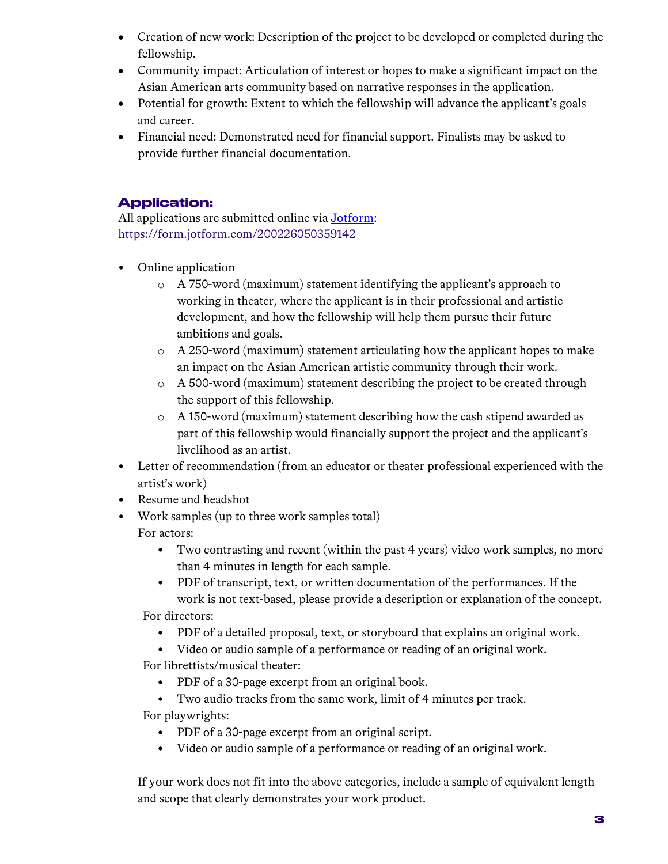- Creation of new work: Description of the project to be developed or completed during the fellowship.
- Community impact: Articulation of interest or hopes to make a significant impact on the Asian American arts community based on narrative responses in the application.
- Potential for growth: Extent to which the fellowship will advance the applicant's goals and career.
- Financial need: Demonstrated need for financial support. Finalists may be asked to provide further financial documentation.

## Application:

All applications are submitted online via Jotform: https://form.jotform.com/200226050359142

- Online application
	- o A 750-word (maximum) statement identifying the applicant's approach to working in theater, where the applicant is in their professional and artistic development, and how the fellowship will help them pursue their future ambitions and goals.
	- o A 250-word (maximum) statement articulating how the applicant hopes to make an impact on the Asian American artistic community through their work.
	- o A 500-word (maximum) statement describing the project to be created through the support of this fellowship.
	- o A 150-word (maximum) statement describing how the cash stipend awarded as part of this fellowship would financially support the project and the applicant's livelihood as an artist.
- Letter of recommendation (from an educator or theater professional experienced with the artist's work)
- Resume and headshot
- Work samples (up to three work samples total) For actors:
	- Two contrasting and recent (within the past 4 years) video work samples, no more than 4 minutes in length for each sample.
	- PDF of transcript, text, or written documentation of the performances. If the work is not text-based, please provide a description or explanation of the concept.

For directors:

- PDF of a detailed proposal, text, or storyboard that explains an original work.
- Video or audio sample of a performance or reading of an original work.

For librettists/musical theater:

- PDF of a 30-page excerpt from an original book.
- Two audio tracks from the same work, limit of 4 minutes per track.

For playwrights:

- PDF of a 30-page excerpt from an original script.
- Video or audio sample of a performance or reading of an original work.

If your work does not fit into the above categories, include a sample of equivalent length and scope that clearly demonstrates your work product.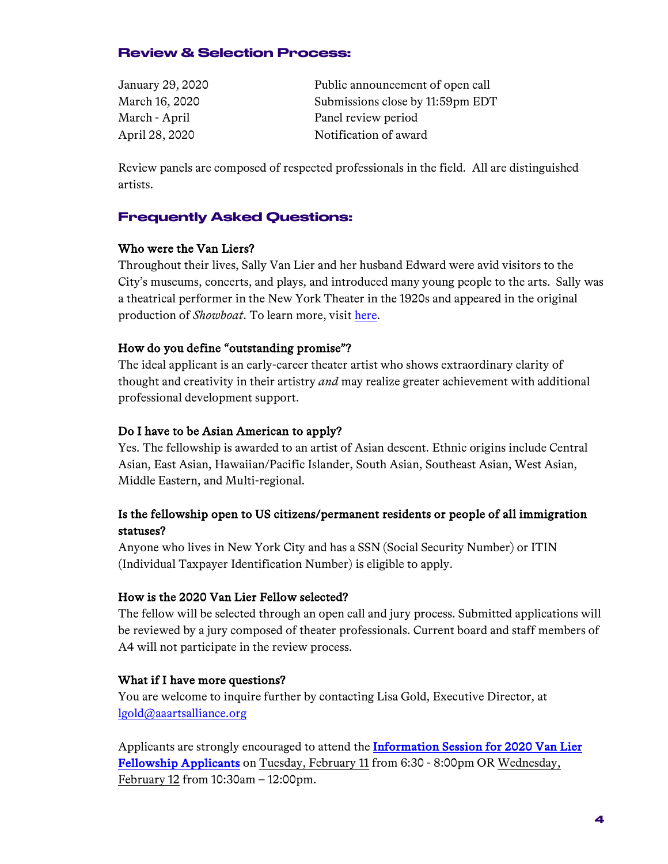### Review & Selection Process:

| January 29, 2020 | Public announcement of open call |
|------------------|----------------------------------|
| March 16, 2020   | Submissions close by 11:59pm EDT |
| March - April    | Panel review period              |
| April 28, 2020   | Notification of award            |

Review panels are composed of respected professionals in the field. All are distinguished artists.

## Frequently Asked Questions:

#### Who were the Van Liers?

Throughout their lives, Sally Van Lier and her husband Edward were avid visitors to the City's museums, concerts, and plays, and introduced many young people to the arts. Sally was a theatrical performer in the New York Theater in the 1920s and appeared in the original production of *Showboat*. To learn more, visit here.

#### How do you define "outstanding promise"?

The ideal applicant is an early-career theater artist who shows extraordinary clarity of thought and creativity in their artistry *and* may realize greater achievement with additional professional development support.

#### Do I have to be Asian American to apply?

Yes. The fellowship is awarded to an artist of Asian descent. Ethnic origins include Central Asian, East Asian, Hawaiian/Pacific Islander, South Asian, Southeast Asian, West Asian, Middle Eastern, and Multi-regional.

## Is the fellowship open to US citizens/permanent residents or people of all immigration statuses?

Anyone who lives in New York City and has a SSN (Social Security Number) or ITIN (Individual Taxpayer Identification Number) is eligible to apply.

#### How is the 2020 Van Lier Fellow selected?

The fellow will be selected through an open call and jury process. Submitted applications will be reviewed by a jury composed of theater professionals. Current board and staff members of A4 will not participate in the review process.

#### What if I have more questions?

You are welcome to inquire further by contacting Lisa Gold, Executive Director, at lgold@aaartsalliance.org

Applicants are strongly encouraged to attend the Information Session for 2020 Van Lier Fellowship Applicants on Tuesday, February 11 from 6:30 - 8:00pm OR Wednesday, February 12 from 10:30am – 12:00pm.